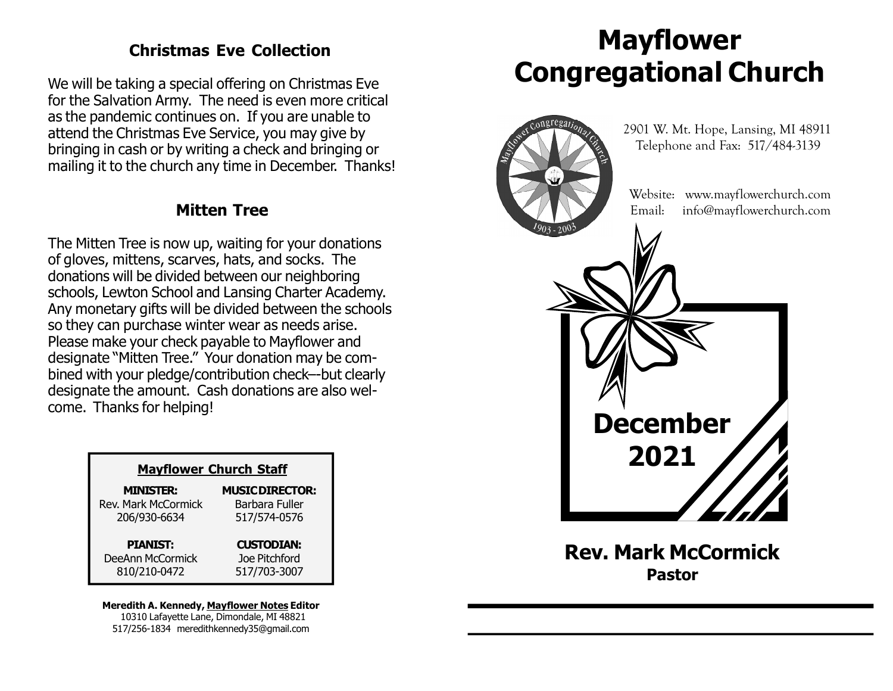### Christmas Eve Collection

We will be taking a special offering on Christmas Eve for the Salvation Army. The need is even more critical as the pandemic continues on. If you are unable to attend the Christmas Eve Service, you may give by bringing in cash or by writing a check and bringing or mailing it to the church any time in December. Thanks!

### Mitten Tree

The Mitten Tree is now up, waiting for your donations of gloves, mittens, scarves, hats, and socks. The donations will be divided between our neighboring schools, Lewton School and Lansing Charter Academy. Any monetary gifts will be divided between the schools so they can purchase winter wear as needs arise. Please make your check payable to Mayflower and designate "Mitten Tree." Your donation may be combined with your pledge/contribution check–-but clearly designate the amount. Cash donations are also welcome. Thanks for helping!

| <b>Mayflower Church Staff</b> |                        |  |
|-------------------------------|------------------------|--|
| <b>MINISTER:</b>              | <b>MUSIC DIRECTOR:</b> |  |
| <b>Rev. Mark McCormick</b>    | Barbara Fuller         |  |
| 206/930-6634                  | 517/574-0576           |  |
| <b>PIANIST:</b>               | <b>CUSTODIAN:</b>      |  |
| DeeAnn McCormick              | Joe Pitchford          |  |
| 810/210-0472                  | 517/703-3007           |  |

#### Meredith A. Kennedy, Mayflower Notes Editor 10310 Lafayette Lane, Dimondale, MI 48821 517/256-1834 meredithkennedy35@gmail.com

# Mayflower Congregational Church



Rev. Mark McCormick Pastor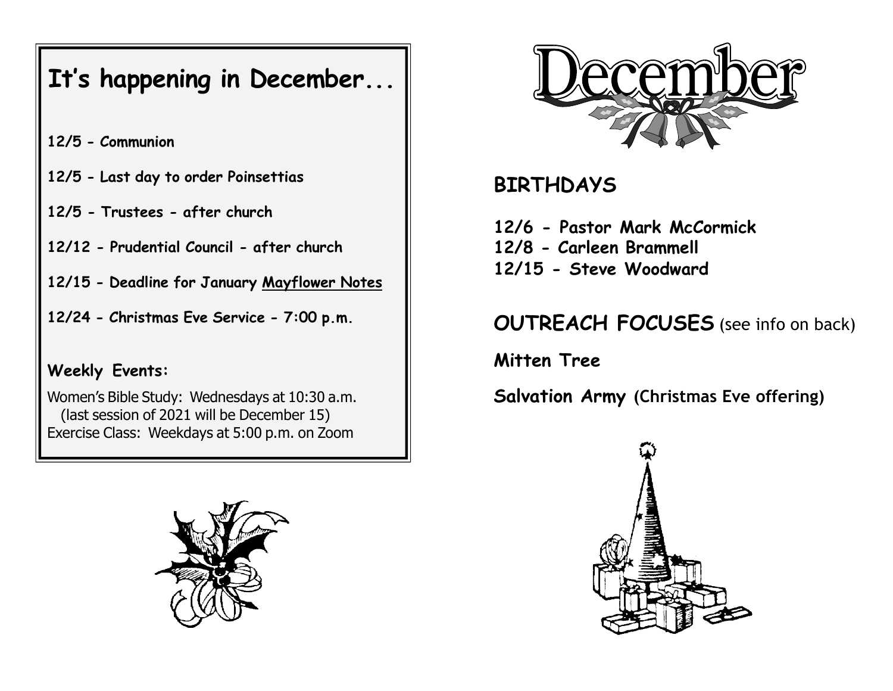## It's happening in December...

- 12/5 Communion
- 12/5 Last day to order Poinsettias
- 12/5 Trustees after church
- 12/12 Prudential Council after church
- 12/15 Deadline for January Mayflower Notes
- 12/24 Christmas Eve Service 7:00 p.m.

### Weekly Events:

Women's Bible Study: Wednesdays at 10:30 a.m. (last session of 2021 will be December 15) Exercise Class: Weekdays at 5:00 p.m. on Zoom





## **BIRTHDAYS**

12/6 - Pastor Mark McCormick 12/8 - Carleen Brammell 12/15 - Steve Woodward

## OUTREACH FOCUSES (see info on back)

Mitten Tree

Salvation Army (Christmas Eve offering)

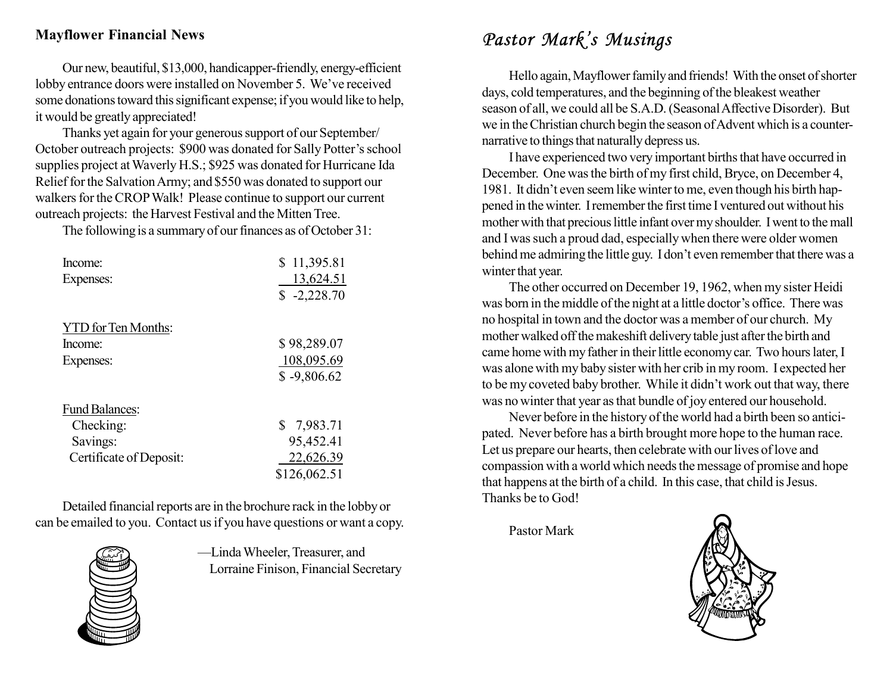### Mayflower Financial News

Our new, beautiful, \$13,000, handicapper-friendly, energy-efficient lobby entrance doors were installed on November 5. We've received some donations toward this significant expense; if you would like to help, it would be greatly appreciated!

Thanks yet again for your generous support of our September/ October outreach projects: \$900 was donated for Sally Potter's school supplies project at Waverly H.S.; \$925 was donated for Hurricane Ida Relief for the Salvation Army; and \$550 was donated to support our walkers for the CROP Walk! Please continue to support our current outreach projects: the Harvest Festival and the Mitten Tree.

The following is a summary of our finances as of October 31:

| Income:<br>Expenses:    | \$11,395.81<br>13,624.51<br>$$ -2,228.70$ |
|-------------------------|-------------------------------------------|
| YTD for Ten Months:     |                                           |
| Income:                 | \$98,289.07                               |
| Expenses:               | 108,095.69                                |
|                         | $$ -9,806.62$                             |
| <b>Fund Balances:</b>   |                                           |
| Checking:               | \$7,983.71                                |
| Savings:                | 95,452.41                                 |
| Certificate of Deposit: | 22,626.39                                 |
|                         | \$126,062.51                              |

Detailed financial reports are in the brochure rack in the lobby or can be emailed to you. Contact us if you have questions or want a copy.



—Linda Wheeler, Treasurer, and Lorraine Finison, Financial Secretary

### Pastor Mark's Musings

Hello again, Mayflower family and friends! With the onset of shorter days, cold temperatures, and the beginning of the bleakest weather season of all, we could all be S.A.D. (Seasonal Affective Disorder). But we in the Christian church begin the season of Advent which is a counternarrative to things that naturally depress us.

I have experienced two very important births that have occurred in December. One was the birth of my first child, Bryce, on December 4, 1981. It didn't even seem like winter to me, even though his birth happened in the winter. I remember the first time I ventured out without his mother with that precious little infant over my shoulder. I went to the mall and I was such a proud dad, especially when there were older women behind me admiring the little guy. I don't even remember that there was a winter that year.

The other occurred on December 19, 1962, when my sister Heidi was born in the middle of the night at a little doctor's office. There was no hospital in town and the doctor was a member of our church. My mother walked off the makeshift delivery table just after the birth and came home with my father in their little economy car. Two hours later, I was alone with my baby sister with her crib in my room. I expected her to be my coveted baby brother. While it didn't work out that way, there was no winter that year as that bundle of joy entered our household.

Never before in the history of the world had a birth been so anticipated. Never before has a birth brought more hope to the human race. Let us prepare our hearts, then celebrate with our lives of love and compassion with a world which needs the message of promise and hope that happens at the birth of a child. In this case, that child is Jesus. Thanks be to God!

Pastor Mark